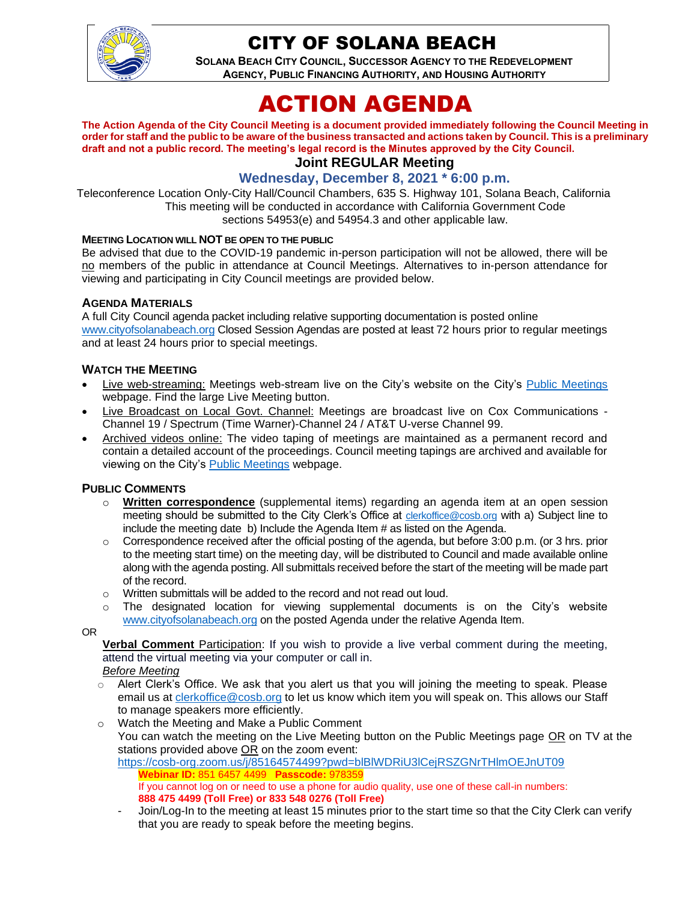

# CITY OF SOLANA BEACH

**SOLANA BEACH CITY COUNCIL, SUCCESSOR AGENCY TO THE REDEVELOPMENT AGENCY, PUBLIC FINANCING AUTHORITY, AND HOUSING AUTHORITY** 

# ACTION AGENDA

**The Action Agenda of the City Council Meeting is a document provided immediately following the Council Meeting in order for staff and the public to be aware of the business transacted and actions taken by Council. This is a preliminary draft and not a public record. The meeting's legal record is the Minutes approved by the City Council.**

# **Joint REGULAR Meeting**

# **Wednesday, December 8, 2021 \* 6:00 p.m.**

Teleconference Location Only-City Hall/Council Chambers, 635 S. Highway 101, Solana Beach, California This meeting will be conducted in accordance with California Government Code sections 54953(e) and 54954.3 and other applicable law.

#### **MEETING LOCATION WILL NOT BE OPEN TO THE PUBLIC**

Be advised that due to the COVID-19 pandemic in-person participation will not be allowed, there will be no members of the public in attendance at Council Meetings. Alternatives to in-person attendance for viewing and participating in City Council meetings are provided below.

#### **AGENDA MATERIALS**

A full City Council agenda packet including relative supporting documentation is posted online [www.cityofsolanabeach.org](http://www.cityofsolanabeach.org/) Closed Session Agendas are posted at least 72 hours prior to regular meetings and at least 24 hours prior to special meetings.

#### **WATCH THE MEETING**

- Live web-streaming: Meetings web-stream live on the City's website on the City's [Public Meetings](https://urldefense.proofpoint.com/v2/url?u=https-3A__www.ci.solana-2Dbeach.ca.us_index.asp-3FSEC-3DF0F1200D-2D21C6-2D4A88-2D8AE1-2D0BC07C1A81A7-26Type-3DB-5FBASIC&d=DwMFAg&c=euGZstcaTDllvimEN8b7jXrwqOf-v5A_CdpgnVfiiMM&r=1XAsCUuqwK_tji2t0s1uIQ&m=wny2RVfZJ2tN24LkqZmkUWNpwL_peNtTZUBlTBZiMM4&s=WwpcEQpHHkFen6nS6q2waMuQ_VMZ-i1YZ60lD-dYRRE&e=) webpage. Find the large Live Meeting button.
- Live Broadcast on Local Govt. Channel: Meetings are broadcast live on Cox Communications Channel 19 / Spectrum (Time Warner)-Channel 24 / AT&T U-verse Channel 99.
- Archived videos online: The video taping of meetings are maintained as a permanent record and contain a detailed account of the proceedings. Council meeting tapings are archived and available for viewing on the City's [Public Meetings](https://urldefense.proofpoint.com/v2/url?u=https-3A__www.ci.solana-2Dbeach.ca.us_index.asp-3FSEC-3DF0F1200D-2D21C6-2D4A88-2D8AE1-2D0BC07C1A81A7-26Type-3DB-5FBASIC&d=DwMFAg&c=euGZstcaTDllvimEN8b7jXrwqOf-v5A_CdpgnVfiiMM&r=1XAsCUuqwK_tji2t0s1uIQ&m=wny2RVfZJ2tN24LkqZmkUWNpwL_peNtTZUBlTBZiMM4&s=WwpcEQpHHkFen6nS6q2waMuQ_VMZ-i1YZ60lD-dYRRE&e=) webpage.

#### **PUBLIC COMMENTS**

- o **Written correspondence** (supplemental items) regarding an agenda item at an open session meeting should be submitted to the City Clerk's Office at [clerkoffice@cosb.org](mailto:clerkoffice@cosb.org) with a) Subject line to include the meeting date b) Include the Agenda Item # as listed on the Agenda.
- $\circ$  Correspondence received after the official posting of the agenda, but before 3:00 p.m. (or 3 hrs. prior to the meeting start time) on the meeting day, will be distributed to Council and made available online along with the agenda posting. All submittals received before the start of the meeting will be made part of the record.
- o Written submittals will be added to the record and not read out loud.
- $\circ$  The designated location for viewing supplemental documents is on the City's website [www.cityofsolanabeach.org](http://www.cityofsolanabeach.org/) on the posted Agenda under the relative Agenda Item.

OR

**Verbal Comment** Participation: If you wish to provide a live verbal comment during the meeting, attend the virtual meeting via your computer or call in.

- *Before Meeting*
- $\circ$  Alert Clerk's Office. We ask that you alert us that you will joining the meeting to speak. Please email us at [clerkoffice@cosb.org](mailto:clerkoffice@cosb.org) to let us know which item you will speak on. This allows our Staff to manage speakers more efficiently.
- o Watch the Meeting and Make a Public Comment You can watch the meeting on the Live Meeting button on the Public Meetings page OR on TV at the stations provided above OR on the zoom event: <https://cosb-org.zoom.us/j/85164574499?pwd=blBlWDRiU3lCejRSZGNrTHlmOEJnUT09>
	- **Webinar ID:** 851 6457 4499 **Passcode:** 978359 If you cannot log on or need to use a phone for audio quality, use one of these call-in numbers: **888 475 4499 (Toll Free) or 833 548 0276 (Toll Free)**
	- Join/Log-In to the meeting at least 15 minutes prior to the start time so that the City Clerk can verify that you are ready to speak before the meeting begins.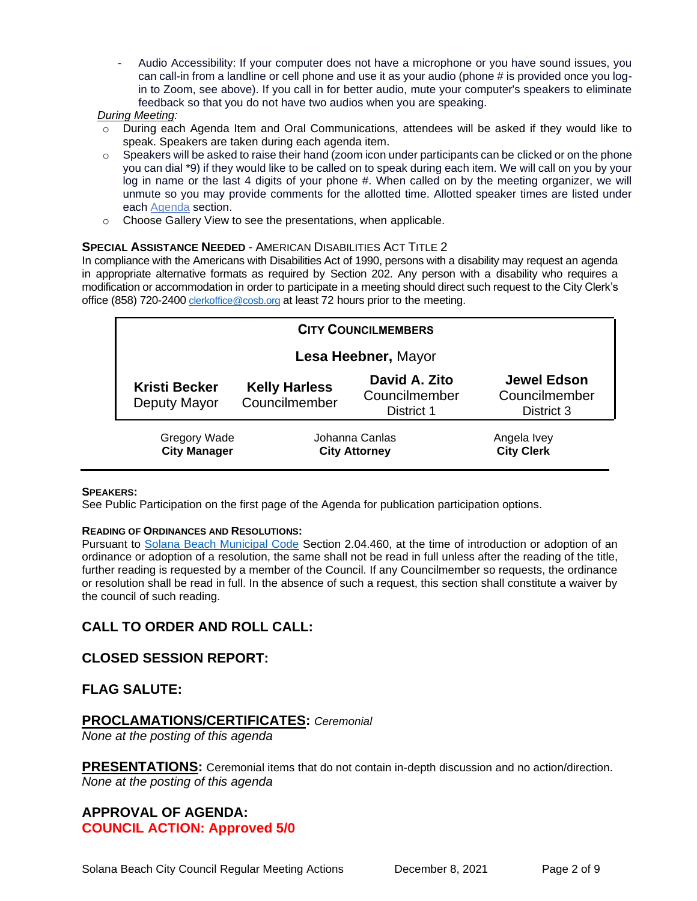Audio Accessibility: If your computer does not have a microphone or you have sound issues, you can call-in from a landline or cell phone and use it as your audio (phone # is provided once you login to Zoom, see above). If you call in for better audio, mute your computer's speakers to eliminate feedback so that you do not have two audios when you are speaking.

#### *During Meeting:*

- o During each Agenda Item and Oral Communications, attendees will be asked if they would like to speak. Speakers are taken during each agenda item.
- $\circ$  Speakers will be asked to raise their hand (zoom icon under participants can be clicked or on the phone you can dial \*9) if they would like to be called on to speak during each item. We will call on you by your log in name or the last 4 digits of your phone #. When called on by the meeting organizer, we will unmute so you may provide comments for the allotted time. Allotted speaker times are listed under each [Agenda](https://urldefense.proofpoint.com/v2/url?u=https-3A__www.ci.solana-2Dbeach.ca.us_index.asp-3FSEC-3DF0F1200D-2D21C6-2D4A88-2D8AE1-2D0BC07C1A81A7-26Type-3DB-5FBASIC&d=DwMFaQ&c=euGZstcaTDllvimEN8b7jXrwqOf-v5A_CdpgnVfiiMM&r=1XAsCUuqwK_tji2t0s1uIQ&m=C7WzXfOw2_nkEFMJClT55zZsF4tmIf_7KTn0o1WpYqI&s=3DcsWExM2_nx_xpvFtXslUjphiXd0MDCCF18y_Qy5yU&e=) section.
- o Choose Gallery View to see the presentations, when applicable.

#### **SPECIAL ASSISTANCE NEEDED** - AMERICAN DISABILITIES ACT TITLE 2

In compliance with the Americans with Disabilities Act of 1990, persons with a disability may request an agenda in appropriate alternative formats as required by Section 202. Any person with a disability who requires a modification or accommodation in order to participate in a meeting should direct such request to the City Clerk's office (858) 720-2400 [clerkoffice@cosb.org](mailto:EMAILGRP-CityClerksOfc@cosb.org) at least 72 hours prior to the meeting.

| <b>CITY COUNCILMEMBERS</b>                 |                                        |                                              |                                                   |
|--------------------------------------------|----------------------------------------|----------------------------------------------|---------------------------------------------------|
| Lesa Heebner, Mayor                        |                                        |                                              |                                                   |
| <b>Kristi Becker</b><br>Deputy Mayor       | <b>Kelly Harless</b><br>Councilmember  | David A. Zito<br>Councilmember<br>District 1 | <b>Jewel Edson</b><br>Councilmember<br>District 3 |
| <b>Gregory Wade</b><br><b>City Manager</b> | Johanna Canlas<br><b>City Attorney</b> |                                              | Angela Ivey<br><b>City Clerk</b>                  |

#### **SPEAKERS:**

See Public Participation on the first page of the Agenda for publication participation options.

#### **READING OF ORDINANCES AND RESOLUTIONS:**

Pursuant to [Solana Beach Municipal Code](https://www.codepublishing.com/CA/SolanaBeach/) Section 2.04.460, at the time of introduction or adoption of an ordinance or adoption of a resolution, the same shall not be read in full unless after the reading of the title, further reading is requested by a member of the Council. If any Councilmember so requests, the ordinance or resolution shall be read in full. In the absence of such a request, this section shall constitute a waiver by the council of such reading.

# **CALL TO ORDER AND ROLL CALL:**

#### **CLOSED SESSION REPORT:**

#### **FLAG SALUTE:**

#### **PROCLAMATIONS/CERTIFICATES:** *Ceremonial*

*None at the posting of this agenda*

**PRESENTATIONS:** Ceremonial items that do not contain in-depth discussion and no action/direction. *None at the posting of this agenda*

# **APPROVAL OF AGENDA: COUNCIL ACTION: Approved 5/0**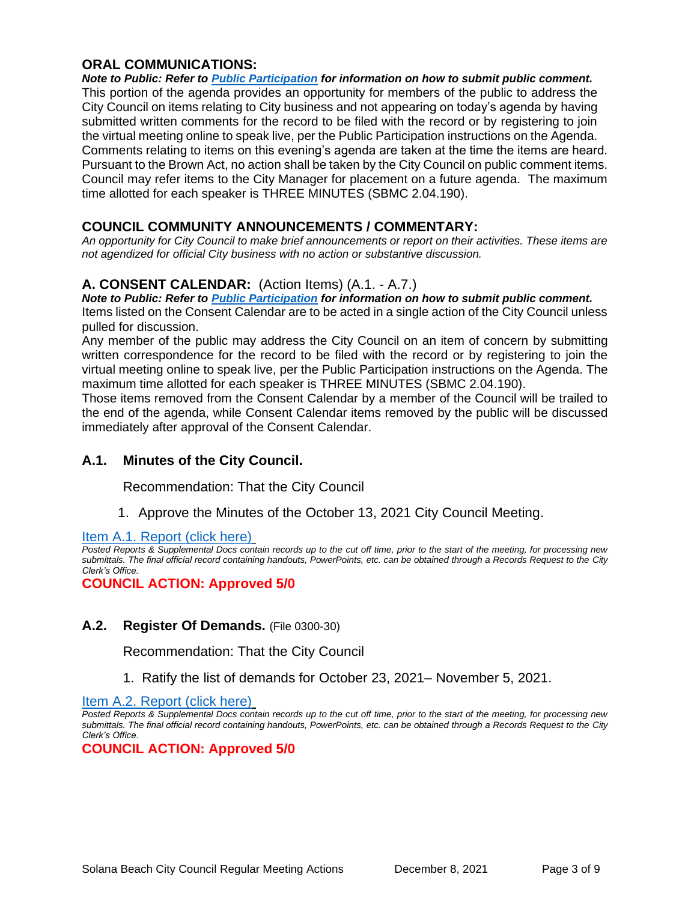# **ORAL COMMUNICATIONS:**

*Note to Public: Refer to Public Participation for information on how to submit public comment.*  This portion of the agenda provides an opportunity for members of the public to address the City Council on items relating to City business and not appearing on today's agenda by having submitted written comments for the record to be filed with the record or by registering to join the virtual meeting online to speak live, per the Public Participation instructions on the Agenda. Comments relating to items on this evening's agenda are taken at the time the items are heard. Pursuant to the Brown Act, no action shall be taken by the City Council on public comment items. Council may refer items to the City Manager for placement on a future agenda. The maximum time allotted for each speaker is THREE MINUTES (SBMC 2.04.190).

# **COUNCIL COMMUNITY ANNOUNCEMENTS / COMMENTARY:**

*An opportunity for City Council to make brief announcements or report on their activities. These items are not agendized for official City business with no action or substantive discussion.* 

# **A. CONSENT CALENDAR:** (Action Items) (A.1. - A.7.)

*Note to Public: Refer to Public Participation for information on how to submit public comment.*  Items listed on the Consent Calendar are to be acted in a single action of the City Council unless pulled for discussion.

Any member of the public may address the City Council on an item of concern by submitting written correspondence for the record to be filed with the record or by registering to join the virtual meeting online to speak live, per the Public Participation instructions on the Agenda. The maximum time allotted for each speaker is THREE MINUTES (SBMC 2.04.190).

Those items removed from the Consent Calendar by a member of the Council will be trailed to the end of the agenda, while Consent Calendar items removed by the public will be discussed immediately after approval of the Consent Calendar.

#### **A.1. Minutes of the City Council.**

Recommendation: That the City Council

1. Approve the Minutes of the October 13, 2021 City Council Meeting.

[Item A.1. Report \(click here\)](https://solanabeach.govoffice3.com/vertical/Sites/%7B840804C2-F869-4904-9AE3-720581350CE7%7D/uploads/Item_A.1._Document_(click_here)_-_12-08-21-_O.pdf)

*Posted Reports & Supplemental Docs contain records up to the cut off time, prior to the start of the meeting, for processing new submittals. The final official record containing handouts, PowerPoints, etc. can be obtained through a Records Request to the City Clerk's Office.*

**COUNCIL ACTION: Approved 5/0**

#### **A.2. Register Of Demands.** (File 0300-30)

Recommendation: That the City Council

1. Ratify the list of demands for October 23, 2021– November 5, 2021.

[Item A.2. Report \(click here\)](https://solanabeach.govoffice3.com/vertical/Sites/%7B840804C2-F869-4904-9AE3-720581350CE7%7D/uploads/Item_A.2._Report_(click_here)_-_12-08-21-_O.pdf)

*Posted Reports & Supplemental Docs contain records up to the cut off time, prior to the start of the meeting, for processing new submittals. The final official record containing handouts, PowerPoints, etc. can be obtained through a Records Request to the City Clerk's Office.*

**COUNCIL ACTION: Approved 5/0**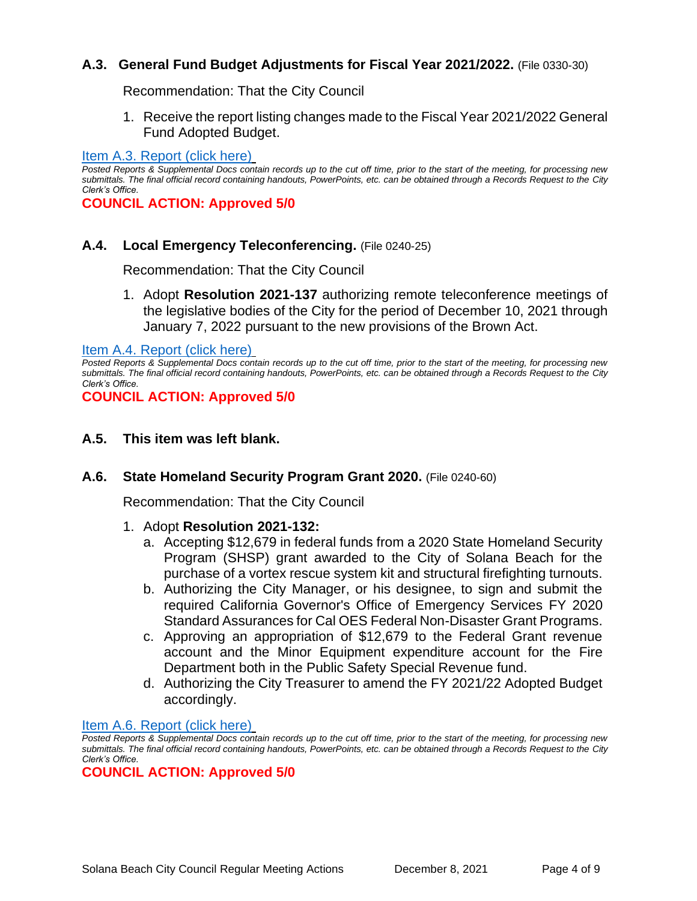# **A.3. General Fund Budget Adjustments for Fiscal Year 2021/2022.** (File 0330-30)

Recommendation: That the City Council

1. Receive the report listing changes made to the Fiscal Year 2021/2022 General Fund Adopted Budget.

#### [Item A.3. Report \(click here\)](https://solanabeach.govoffice3.com/vertical/Sites/%7B840804C2-F869-4904-9AE3-720581350CE7%7D/uploads/Item_A.3._Report_(click_here)_-_12-08-21_-O.pdf)

*Posted Reports & Supplemental Docs contain records up to the cut off time, prior to the start of the meeting, for processing new submittals. The final official record containing handouts, PowerPoints, etc. can be obtained through a Records Request to the City Clerk's Office.*

**COUNCIL ACTION: Approved 5/0**

#### **A.4. Local Emergency Teleconferencing.** (File 0240-25)

Recommendation: That the City Council

1. Adopt **Resolution 2021-137** authorizing remote teleconference meetings of the legislative bodies of the City for the period of December 10, 2021 through January 7, 2022 pursuant to the new provisions of the Brown Act.

[Item A.4. Report \(click here\)](https://solanabeach.govoffice3.com/vertical/Sites/%7B840804C2-F869-4904-9AE3-720581350CE7%7D/uploads/Item_A.4._Report_(click_here)_-_12-08-21-_O.pdf)

*Posted Reports & Supplemental Docs contain records up to the cut off time, prior to the start of the meeting, for processing new submittals. The final official record containing handouts, PowerPoints, etc. can be obtained through a Records Request to the City Clerk's Office.*

**COUNCIL ACTION: Approved 5/0**

#### **A.5. This item was left blank.**

#### **A.6. State Homeland Security Program Grant 2020.** (File 0240-60)

Recommendation: That the City Council

#### 1. Adopt **Resolution 2021-132:**

- a. Accepting \$12,679 in federal funds from a 2020 State Homeland Security Program (SHSP) grant awarded to the City of Solana Beach for the purchase of a vortex rescue system kit and structural firefighting turnouts.
- b. Authorizing the City Manager, or his designee, to sign and submit the required California Governor's Office of Emergency Services FY 2020 Standard Assurances for Cal OES Federal Non-Disaster Grant Programs.
- c. Approving an appropriation of \$12,679 to the Federal Grant revenue account and the Minor Equipment expenditure account for the Fire Department both in the Public Safety Special Revenue fund.
- d. Authorizing the City Treasurer to amend the FY 2021/22 Adopted Budget accordingly.

[Item A.6. Report \(click here\)](https://solanabeach.govoffice3.com/vertical/Sites/%7B840804C2-F869-4904-9AE3-720581350CE7%7D/uploads/Item_A.6._Report_(click_here)_-_12-08-21-_O.pdf)

*Posted Reports & Supplemental Docs contain records up to the cut off time, prior to the start of the meeting, for processing new submittals. The final official record containing handouts, PowerPoints, etc. can be obtained through a Records Request to the City Clerk's Office.*

#### **COUNCIL ACTION: Approved 5/0**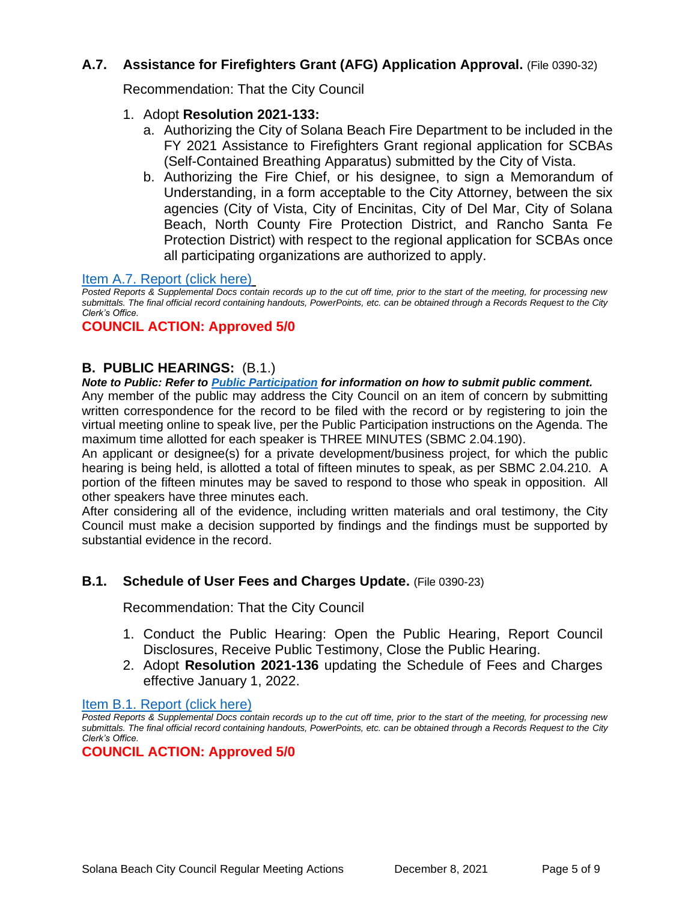# **A.7. Assistance for Firefighters Grant (AFG) Application Approval.** (File 0390-32)

Recommendation: That the City Council

- 1. Adopt **Resolution 2021-133:** 
	- a. Authorizing the City of Solana Beach Fire Department to be included in the FY 2021 Assistance to Firefighters Grant regional application for SCBAs (Self-Contained Breathing Apparatus) submitted by the City of Vista.
	- b. Authorizing the Fire Chief, or his designee, to sign a Memorandum of Understanding, in a form acceptable to the City Attorney, between the six agencies (City of Vista, City of Encinitas, City of Del Mar, City of Solana Beach, North County Fire Protection District, and Rancho Santa Fe Protection District) with respect to the regional application for SCBAs once all participating organizations are authorized to apply.

#### [Item A.7. Report \(click here\)](https://solanabeach.govoffice3.com/vertical/Sites/%7B840804C2-F869-4904-9AE3-720581350CE7%7D/uploads/Item_A.7._Report_(click_here)_-_12-08-21-_O.pdf)

*Posted Reports & Supplemental Docs contain records up to the cut off time, prior to the start of the meeting, for processing new submittals. The final official record containing handouts, PowerPoints, etc. can be obtained through a Records Request to the City Clerk's Office.*

# **COUNCIL ACTION: Approved 5/0**

# **B. PUBLIC HEARINGS:** (B.1.)

*Note to Public: Refer to Public Participation for information on how to submit public comment.* 

Any member of the public may address the City Council on an item of concern by submitting written correspondence for the record to be filed with the record or by registering to join the virtual meeting online to speak live, per the Public Participation instructions on the Agenda. The maximum time allotted for each speaker is THREE MINUTES (SBMC 2.04.190).

An applicant or designee(s) for a private development/business project, for which the public hearing is being held, is allotted a total of fifteen minutes to speak, as per SBMC 2.04.210. A portion of the fifteen minutes may be saved to respond to those who speak in opposition. All other speakers have three minutes each.

After considering all of the evidence, including written materials and oral testimony, the City Council must make a decision supported by findings and the findings must be supported by substantial evidence in the record.

# **B.1.** Schedule of User Fees and Charges Update. (File 0390-23)

Recommendation: That the City Council

- 1. Conduct the Public Hearing: Open the Public Hearing, Report Council Disclosures, Receive Public Testimony, Close the Public Hearing.
- 2. Adopt **Resolution 2021-136** updating the Schedule of Fees and Charges effective January 1, 2022.

[Item B.1. Report \(click here\)](https://solanabeach.govoffice3.com/vertical/Sites/%7B840804C2-F869-4904-9AE3-720581350CE7%7D/uploads/Item_B.1._Report_(click_here)_-_12-08-21-_O.pdf)

*Posted Reports & Supplemental Docs contain records up to the cut off time, prior to the start of the meeting, for processing new submittals. The final official record containing handouts, PowerPoints, etc. can be obtained through a Records Request to the City Clerk's Office.*

**COUNCIL ACTION: Approved 5/0**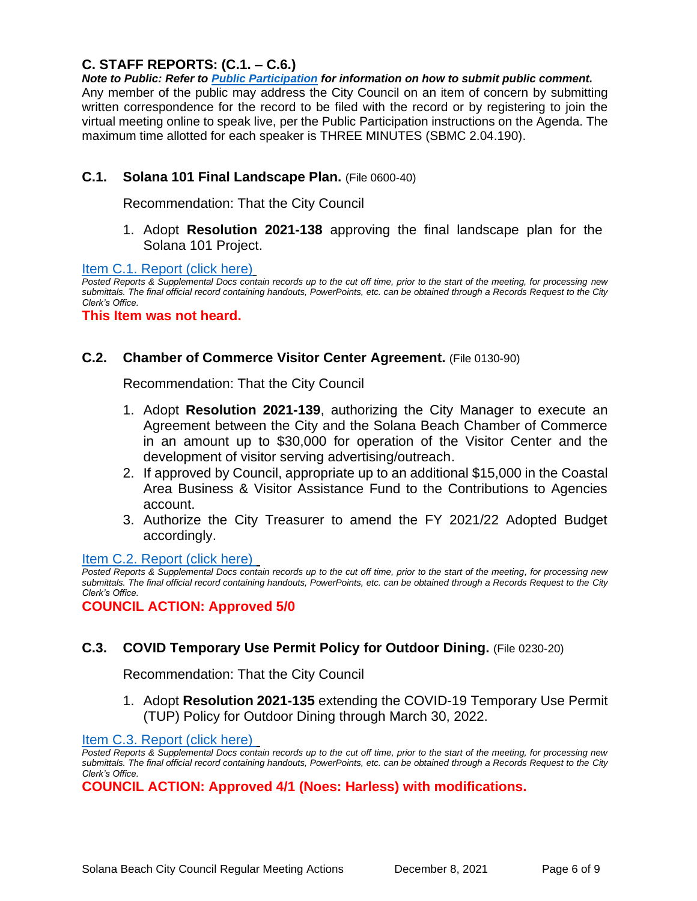# **C. STAFF REPORTS: (C.1. – C.6.)**

*Note to Public: Refer to Public Participation for information on how to submit public comment.*  Any member of the public may address the City Council on an item of concern by submitting written correspondence for the record to be filed with the record or by registering to join the virtual meeting online to speak live, per the Public Participation instructions on the Agenda. The maximum time allotted for each speaker is THREE MINUTES (SBMC 2.04.190).

# **C.1. Solana 101 Final Landscape Plan.** (File 0600-40)

Recommendation: That the City Council

1. Adopt **Resolution 2021-138** approving the final landscape plan for the Solana 101 Project.

[Item C.1. Report \(click here\)](https://solanabeach.govoffice3.com/vertical/Sites/%7B840804C2-F869-4904-9AE3-720581350CE7%7D/uploads/Item_C.1._Report_(click_here)_-_12-08-21-_O.pdf)

*Posted Reports & Supplemental Docs contain records up to the cut off time, prior to the start of the meeting, for processing new submittals. The final official record containing handouts, PowerPoints, etc. can be obtained through a Records Request to the City Clerk's Office.*

**This Item was not heard.**

#### **C.2. Chamber of Commerce Visitor Center Agreement.** (File 0130-90)

Recommendation: That the City Council

- 1. Adopt **Resolution 2021-139**, authorizing the City Manager to execute an Agreement between the City and the Solana Beach Chamber of Commerce in an amount up to \$30,000 for operation of the Visitor Center and the development of visitor serving advertising/outreach.
- 2. If approved by Council, appropriate up to an additional \$15,000 in the Coastal Area Business & Visitor Assistance Fund to the Contributions to Agencies account.
- 3. Authorize the City Treasurer to amend the FY 2021/22 Adopted Budget accordingly.

[Item C.2. Report](https://solanabeach.govoffice3.com/vertical/Sites/%7B840804C2-F869-4904-9AE3-720581350CE7%7D/uploads/Item_C.2._Report_(click_here)_-_12-08-21-_O.pdf) (click here)

*Posted Reports & Supplemental Docs contain records up to the cut off time, prior to the start of the meeting, for processing new submittals. The final official record containing handouts, PowerPoints, etc. can be obtained through a Records Request to the City Clerk's Office.*

**COUNCIL ACTION: Approved 5/0**

# **C.3. COVID Temporary Use Permit Policy for Outdoor Dining.** (File 0230-20)

Recommendation: That the City Council

1. Adopt **Resolution 2021-135** extending the COVID-19 Temporary Use Permit (TUP) Policy for Outdoor Dining through March 30, 2022.

[Item C.3. Report \(click here\)](https://solanabeach.govoffice3.com/vertical/Sites/%7B840804C2-F869-4904-9AE3-720581350CE7%7D/uploads/Item_C.3._Report_(click_here)_-_12-08-21-_O.pdf) 

*Posted Reports & Supplemental Docs contain records up to the cut off time, prior to the start of the meeting, for processing new submittals. The final official record containing handouts, PowerPoints, etc. can be obtained through a Records Request to the City Clerk's Office.*

**COUNCIL ACTION: Approved 4/1 (Noes: Harless) with modifications.**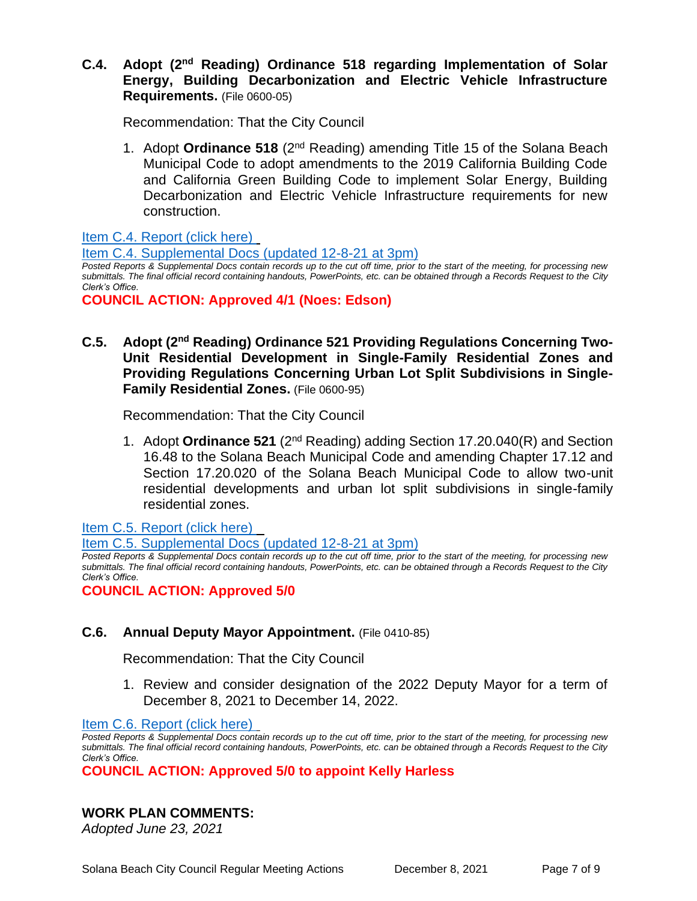**C.4. Adopt (2nd Reading) Ordinance 518 regarding Implementation of Solar Energy, Building Decarbonization and Electric Vehicle Infrastructure Requirements.** (File 0600-05)

Recommendation: That the City Council

1. Adopt **Ordinance 518** (2nd Reading) amending Title 15 of the Solana Beach Municipal Code to adopt amendments to the 2019 California Building Code and California Green Building Code to implement Solar Energy, Building Decarbonization and Electric Vehicle Infrastructure requirements for new construction.

[Item C.4. Report \(click here\)](https://solanabeach.govoffice3.com/vertical/Sites/%7B840804C2-F869-4904-9AE3-720581350CE7%7D/uploads/Item_C.4._Report_(click_here)_-_12-08-21-_O.pdf) 

[Item C.4. Supplemental Docs \(updated 12-8-21 at 3pm\)](https://solanabeach.govoffice3.com/vertical/Sites/%7B840804C2-F869-4904-9AE3-720581350CE7%7D/uploads/Item_C.4._Supplemental_Docs_(upd._12-8_at_3pm)_-_O.pdf)

*Posted Reports & Supplemental Docs contain records up to the cut off time, prior to the start of the meeting, for processing new submittals. The final official record containing handouts, PowerPoints, etc. can be obtained through a Records Request to the City Clerk's Office.*

**COUNCIL ACTION: Approved 4/1 (Noes: Edson)**

C.5. Adopt (2<sup>nd</sup> Reading) Ordinance 521 Providing Regulations Concerning Two-**Unit Residential Development in Single-Family Residential Zones and Providing Regulations Concerning Urban Lot Split Subdivisions in Single-Family Residential Zones.** (File 0600-95)

Recommendation: That the City Council

1. Adopt **Ordinance 521** (2nd Reading) adding Section 17.20.040(R) and Section 16.48 to the Solana Beach Municipal Code and amending Chapter 17.12 and Section 17.20.020 of the Solana Beach Municipal Code to allow two-unit residential developments and urban lot split subdivisions in single-family residential zones.

[Item C.5. Report \(click here\)](https://solanabeach.govoffice3.com/vertical/Sites/%7B840804C2-F869-4904-9AE3-720581350CE7%7D/uploads/Item_C.5._Report_(click_here)_-_12-08-21-_O.pdf) 

[Item C.5. Supplemental Docs \(updated 12-8-21 at 3pm\)](https://solanabeach.govoffice3.com/vertical/Sites/%7B840804C2-F869-4904-9AE3-720581350CE7%7D/uploads/Item_C.5._Supplemental_Docs_(upd._12-8_at_3pm)_-_O.pdf)

*Posted Reports & Supplemental Docs contain records up to the cut off time, prior to the start of the meeting, for processing new submittals. The final official record containing handouts, PowerPoints, etc. can be obtained through a Records Request to the City Clerk's Office.*

**COUNCIL ACTION: Approved 5/0**

# **C.6. Annual Deputy Mayor Appointment.** (File 0410-85)

Recommendation: That the City Council

1. Review and consider designation of the 2022 Deputy Mayor for a term of December 8, 2021 to December 14, 2022.

[Item C.6. Report \(click here\)](https://solanabeach.govoffice3.com/vertical/Sites/%7B840804C2-F869-4904-9AE3-720581350CE7%7D/uploads/Item_C.6._Report_(click_here)_-_12-08-21-_O.pdf) 

*Posted Reports & Supplemental Docs contain records up to the cut off time, prior to the start of the meeting, for processing new submittals. The final official record containing handouts, PowerPoints, etc. can be obtained through a Records Request to the City Clerk's Office.*

**COUNCIL ACTION: Approved 5/0 to appoint Kelly Harless**

# **WORK PLAN COMMENTS:**

*Adopted June 23, 2021*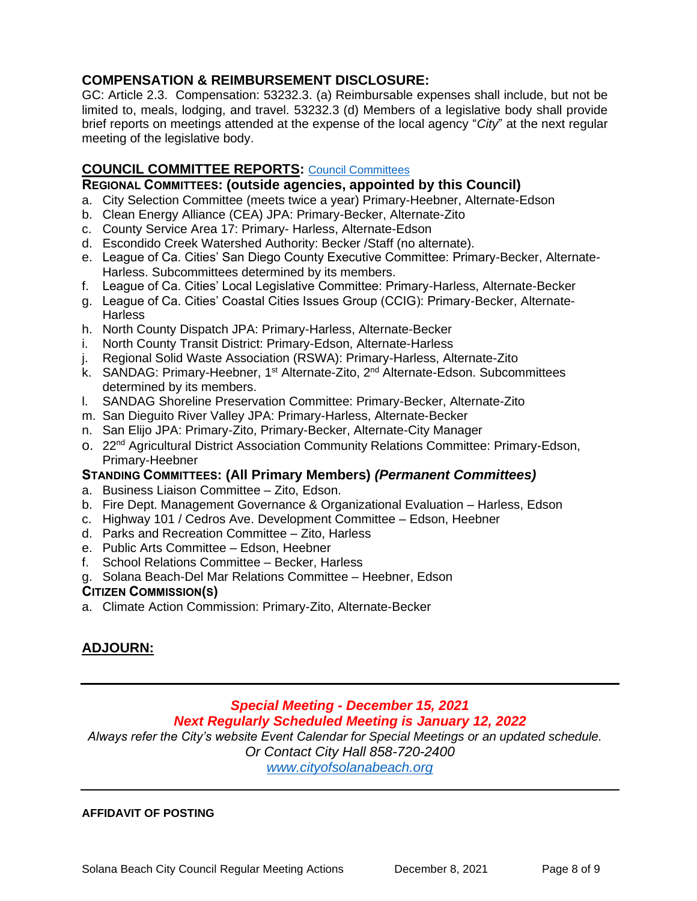# **COMPENSATION & REIMBURSEMENT DISCLOSURE:**

GC: Article 2.3. Compensation: 53232.3. (a) Reimbursable expenses shall include, but not be limited to, meals, lodging, and travel. 53232.3 (d) Members of a legislative body shall provide brief reports on meetings attended at the expense of the local agency "*City*" at the next regular meeting of the legislative body.

# **COUNCIL COMMITTEE REPORTS:** [Council Committees](https://www.ci.solana-beach.ca.us/index.asp?SEC=584E1192-3850-46EA-B977-088AC3E81E0D&Type=B_BASIC)

#### **REGIONAL COMMITTEES: (outside agencies, appointed by this Council)**

- a. City Selection Committee (meets twice a year) Primary-Heebner, Alternate-Edson
- b. Clean Energy Alliance (CEA) JPA: Primary-Becker, Alternate-Zito
- c. County Service Area 17: Primary- Harless, Alternate-Edson
- d. Escondido Creek Watershed Authority: Becker /Staff (no alternate).
- e. League of Ca. Cities' San Diego County Executive Committee: Primary-Becker, Alternate-Harless. Subcommittees determined by its members.
- f. League of Ca. Cities' Local Legislative Committee: Primary-Harless, Alternate-Becker
- g. League of Ca. Cities' Coastal Cities Issues Group (CCIG): Primary-Becker, Alternate-**Harless**
- h. North County Dispatch JPA: Primary-Harless, Alternate-Becker
- i. North County Transit District: Primary-Edson, Alternate-Harless
- j. Regional Solid Waste Association (RSWA): Primary-Harless, Alternate-Zito
- k. SANDAG: Primary-Heebner, 1<sup>st</sup> Alternate-Zito, 2<sup>nd</sup> Alternate-Edson. Subcommittees determined by its members.
- l. SANDAG Shoreline Preservation Committee: Primary-Becker, Alternate-Zito
- m. San Dieguito River Valley JPA: Primary-Harless, Alternate-Becker
- n. San Elijo JPA: Primary-Zito, Primary-Becker, Alternate-City Manager
- o. 22<sup>nd</sup> Agricultural District Association Community Relations Committee: Primary-Edson, Primary-Heebner

# **STANDING COMMITTEES: (All Primary Members)** *(Permanent Committees)*

- a. Business Liaison Committee Zito, Edson.
- b. Fire Dept. Management Governance & Organizational Evaluation Harless, Edson
- c. Highway 101 / Cedros Ave. Development Committee Edson, Heebner
- d. Parks and Recreation Committee Zito, Harless
- e. Public Arts Committee Edson, Heebner
- f. School Relations Committee Becker, Harless
- g. Solana Beach-Del Mar Relations Committee Heebner, Edson

#### **CITIZEN COMMISSION(S)**

a. Climate Action Commission: Primary-Zito, Alternate-Becker

# **ADJOURN:**

#### *Special Meeting - December 15, 2021 Next Regularly Scheduled Meeting is January 12, 2022*

*Always refer the City's website Event Calendar for Special Meetings or an updated schedule.* 

*Or Contact City Hall 858-720-2400*

*[www.cityofsolanabeach.org](http://www.cityofsolanabeach.org/)* 

#### **AFFIDAVIT OF POSTING**